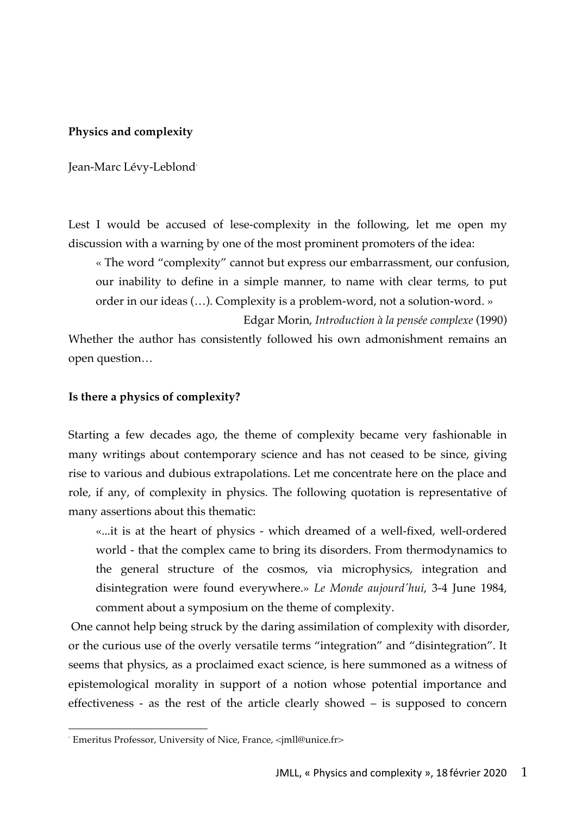### **Physics and complexity**

Jean-Marc Lévy-Leblond<sup>\*</sup>

Lest I would be accused of lese-complexity in the following, let me open my discussion with a warning by one of the most prominent promoters of the idea:

« The word "complexity" cannot but express our embarrassment, our confusion, our inability to define in a simple manner, to name with clear terms, to put order in our ideas (…). Complexity is a problem-word, not a solution-word. »

Edgar Morin, *Introduction à la pensée complexe* (1990)

Whether the author has consistently followed his own admonishment remains an open question…

#### **Is there a physics of complexity?**

Starting a few decades ago, the theme of complexity became very fashionable in many writings about contemporary science and has not ceased to be since, giving rise to various and dubious extrapolations. Let me concentrate here on the place and role, if any, of complexity in physics. The following quotation is representative of many assertions about this thematic:

«...it is at the heart of physics - which dreamed of a well-fixed, well-ordered world - that the complex came to bring its disorders. From thermodynamics to the general structure of the cosmos, via microphysics, integration and disintegration were found everywhere.» *Le Monde aujourd'hui*, 3-4 June 1984, comment about a symposium on the theme of complexity.

One cannot help being struck by the daring assimilation of complexity with disorder, or the curious use of the overly versatile terms "integration" and "disintegration". It seems that physics, as a proclaimed exact science, is here summoned as a witness of epistemological morality in support of a notion whose potential importance and effectiveness - as the rest of the article clearly showed – is supposed to concern

 <sup>\*</sup> Emeritus Professor, University of Nice, France, <jmll@unice.fr>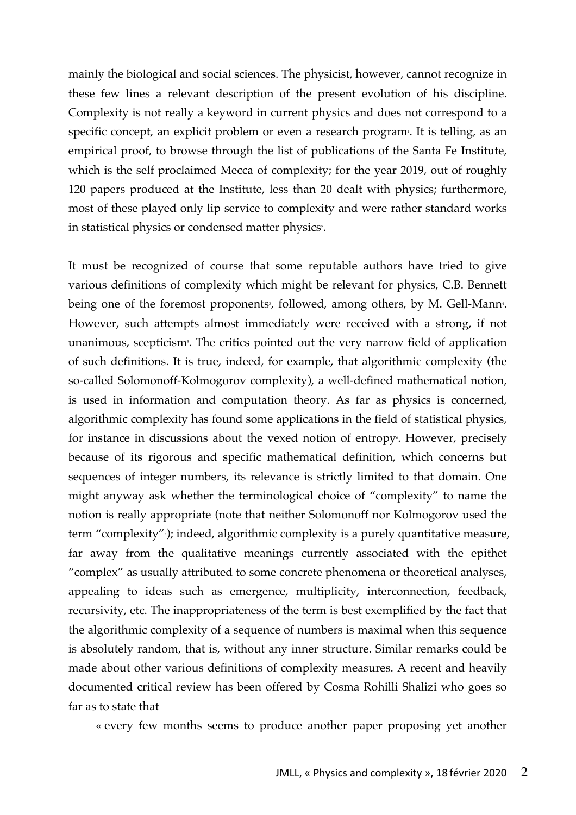mainly the biological and social sciences. The physicist, however, cannot recognize in these few lines a relevant description of the present evolution of his discipline. Complexity is not really a keyword in current physics and does not correspond to a specific concept, an explicit problem or even a research program<sup>.</sup>. It is telling, as an empirical proof, to browse through the list of publications of the Santa Fe Institute, which is the self proclaimed Mecca of complexity; for the year 2019, out of roughly 120 papers produced at the Institute, less than 20 dealt with physics; furthermore, most of these played only lip service to complexity and were rather standard works in statistical physics or condensed matter physics<sup>2</sup>.

It must be recognized of course that some reputable authors have tried to give various definitions of complexity which might be relevant for physics, C.B. Bennett being one of the foremost proponents<sup>3</sup>, followed, among others, by M. Gell-Mann<sup>4</sup>. However, such attempts almost immediately were received with a strong, if not unanimous, scepticism<sup>,</sup>. The critics pointed out the very narrow field of application of such definitions. It is true, indeed, for example, that algorithmic complexity (the so-called Solomonoff-Kolmogorov complexity), a well-defined mathematical notion, is used in information and computation theory. As far as physics is concerned, algorithmic complexity has found some applications in the field of statistical physics, for instance in discussions about the vexed notion of entropy<sub>°</sub>. However, precisely because of its rigorous and specific mathematical definition, which concerns but sequences of integer numbers, its relevance is strictly limited to that domain. One might anyway ask whether the terminological choice of "complexity" to name the notion is really appropriate (note that neither Solomonoff nor Kolmogorov used the term "complexity"7 ); indeed, algorithmic complexity is a purely quantitative measure, far away from the qualitative meanings currently associated with the epithet "complex" as usually attributed to some concrete phenomena or theoretical analyses, appealing to ideas such as emergence, multiplicity, interconnection, feedback, recursivity, etc. The inappropriateness of the term is best exemplified by the fact that the algorithmic complexity of a sequence of numbers is maximal when this sequence is absolutely random, that is, without any inner structure. Similar remarks could be made about other various definitions of complexity measures. A recent and heavily documented critical review has been offered by Cosma Rohilli Shalizi who goes so far as to state that

« every few months seems to produce another paper proposing yet another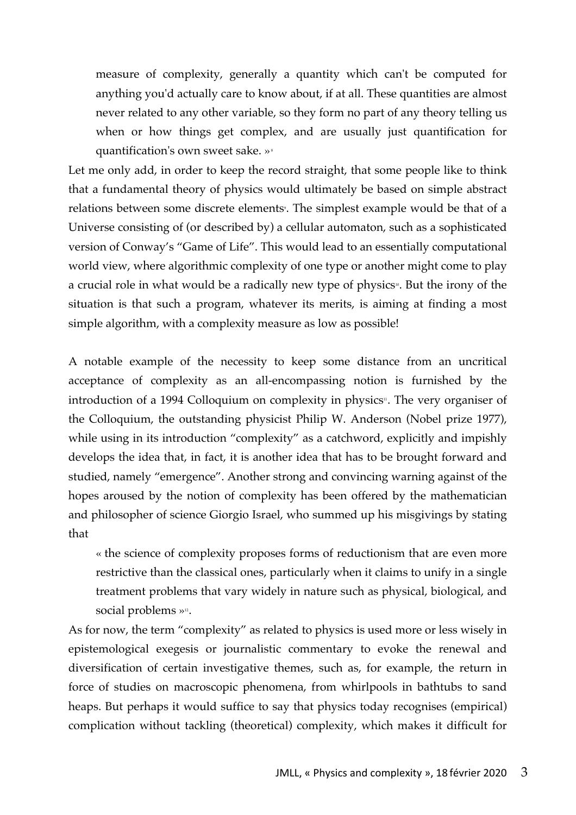measure of complexity, generally a quantity which can't be computed for anything you'd actually care to know about, if at all. These quantities are almost never related to any other variable, so they form no part of any theory telling us when or how things get complex, and are usually just quantification for quantification's own sweet sake. »<sup>8</sup>

Let me only add, in order to keep the record straight, that some people like to think that a fundamental theory of physics would ultimately be based on simple abstract relations between some discrete elements<sup>,</sup>. The simplest example would be that of a Universe consisting of (or described by) a cellular automaton, such as a sophisticated version of Conway's "Game of Life". This would lead to an essentially computational world view, where algorithmic complexity of one type or another might come to play a crucial role in what would be a radically new type of physics<sup>10</sup>. But the irony of the situation is that such a program, whatever its merits, is aiming at finding a most simple algorithm, with a complexity measure as low as possible!

A notable example of the necessity to keep some distance from an uncritical acceptance of complexity as an all-encompassing notion is furnished by the introduction of a 1994 Colloquium on complexity in physics<sup>11</sup>. The very organiser of the Colloquium, the outstanding physicist Philip W. Anderson (Nobel prize 1977), while using in its introduction "complexity" as a catchword, explicitly and impishly develops the idea that, in fact, it is another idea that has to be brought forward and studied, namely "emergence". Another strong and convincing warning against of the hopes aroused by the notion of complexity has been offered by the mathematician and philosopher of science Giorgio Israel, who summed up his misgivings by stating that

« the science of complexity proposes forms of reductionism that are even more restrictive than the classical ones, particularly when it claims to unify in a single treatment problems that vary widely in nature such as physical, biological, and social problems »<sup>12</sup>.

As for now, the term "complexity" as related to physics is used more or less wisely in epistemological exegesis or journalistic commentary to evoke the renewal and diversification of certain investigative themes, such as, for example, the return in force of studies on macroscopic phenomena, from whirlpools in bathtubs to sand heaps. But perhaps it would suffice to say that physics today recognises (empirical) complication without tackling (theoretical) complexity, which makes it difficult for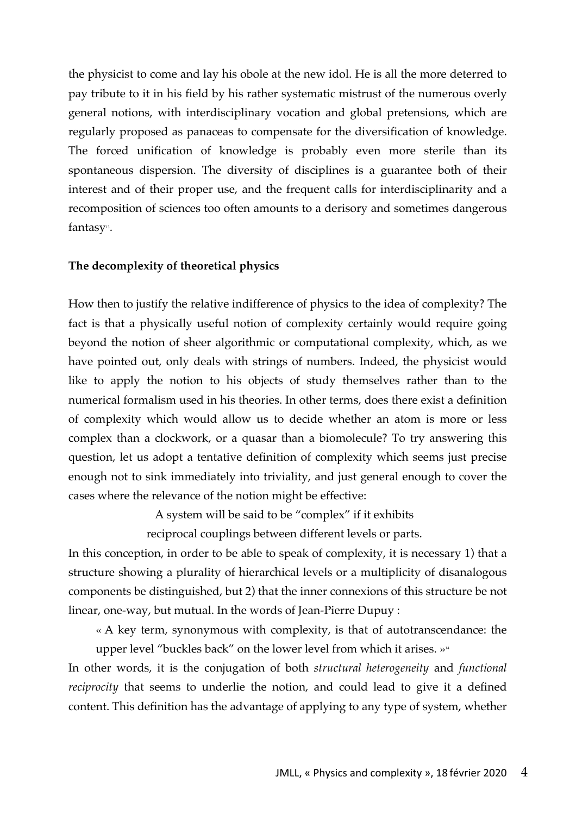the physicist to come and lay his obole at the new idol. He is all the more deterred to pay tribute to it in his field by his rather systematic mistrust of the numerous overly general notions, with interdisciplinary vocation and global pretensions, which are regularly proposed as panaceas to compensate for the diversification of knowledge. The forced unification of knowledge is probably even more sterile than its spontaneous dispersion. The diversity of disciplines is a guarantee both of their interest and of their proper use, and the frequent calls for interdisciplinarity and a recomposition of sciences too often amounts to a derisory and sometimes dangerous fantasy<sup>13</sup>.

# **The decomplexity of theoretical physics**

How then to justify the relative indifference of physics to the idea of complexity? The fact is that a physically useful notion of complexity certainly would require going beyond the notion of sheer algorithmic or computational complexity, which, as we have pointed out, only deals with strings of numbers. Indeed, the physicist would like to apply the notion to his objects of study themselves rather than to the numerical formalism used in his theories. In other terms, does there exist a definition of complexity which would allow us to decide whether an atom is more or less complex than a clockwork, or a quasar than a biomolecule? To try answering this question, let us adopt a tentative definition of complexity which seems just precise enough not to sink immediately into triviality, and just general enough to cover the cases where the relevance of the notion might be effective:

A system will be said to be "complex" if it exhibits

reciprocal couplings between different levels or parts.

In this conception, in order to be able to speak of complexity, it is necessary 1) that a structure showing a plurality of hierarchical levels or a multiplicity of disanalogous components be distinguished, but 2) that the inner connexions of this structure be not linear, one-way, but mutual. In the words of Jean-Pierre Dupuy :

« A key term, synonymous with complexity, is that of autotranscendance: the upper level "buckles back" on the lower level from which it arises.  $v^{\mu}$ 

In other words, it is the conjugation of both *structural heterogeneity* and *functional reciprocity* that seems to underlie the notion, and could lead to give it a defined content. This definition has the advantage of applying to any type of system, whether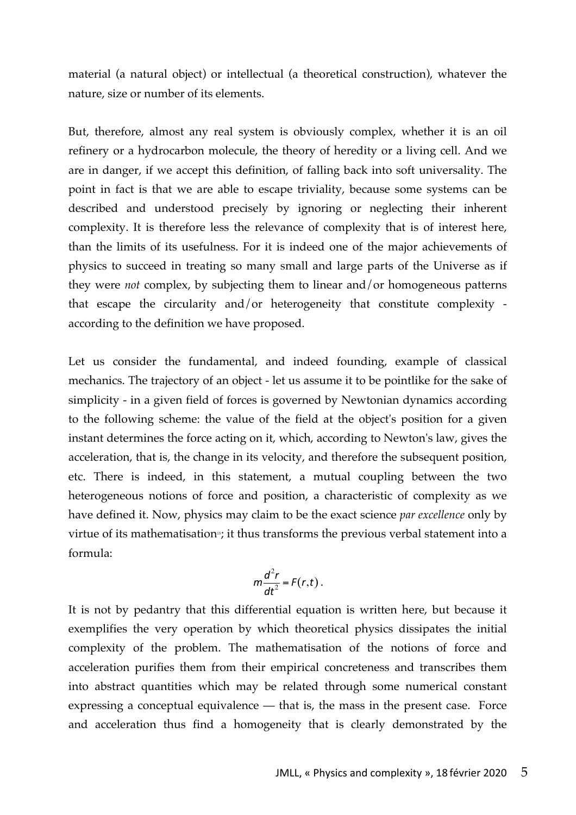material (a natural object) or intellectual (a theoretical construction), whatever the nature, size or number of its elements.

But, therefore, almost any real system is obviously complex, whether it is an oil refinery or a hydrocarbon molecule, the theory of heredity or a living cell. And we are in danger, if we accept this definition, of falling back into soft universality. The point in fact is that we are able to escape triviality, because some systems can be described and understood precisely by ignoring or neglecting their inherent complexity. It is therefore less the relevance of complexity that is of interest here, than the limits of its usefulness. For it is indeed one of the major achievements of physics to succeed in treating so many small and large parts of the Universe as if they were *not* complex, by subjecting them to linear and/or homogeneous patterns that escape the circularity and/or heterogeneity that constitute complexity according to the definition we have proposed.

Let us consider the fundamental, and indeed founding, example of classical mechanics. The trajectory of an object - let us assume it to be pointlike for the sake of simplicity - in a given field of forces is governed by Newtonian dynamics according to the following scheme: the value of the field at the object's position for a given instant determines the force acting on it, which, according to Newton's law, gives the acceleration, that is, the change in its velocity, and therefore the subsequent position, etc. There is indeed, in this statement, a mutual coupling between the two heterogeneous notions of force and position, a characteristic of complexity as we have defined it. Now, physics may claim to be the exact science *par excellence* only by virtue of its mathematisation<sup>15</sup>; it thus transforms the previous verbal statement into a formula:

$$
m\frac{d^2r}{dt^2}=F(r,t).
$$

It is not by pedantry that this differential equation is written here, but because it exemplifies the very operation by which theoretical physics dissipates the initial complexity of the problem. The mathematisation of the notions of force and acceleration purifies them from their empirical concreteness and transcribes them into abstract quantities which may be related through some numerical constant expressing a conceptual equivalence — that is, the mass in the present case. Force and acceleration thus find a homogeneity that is clearly demonstrated by the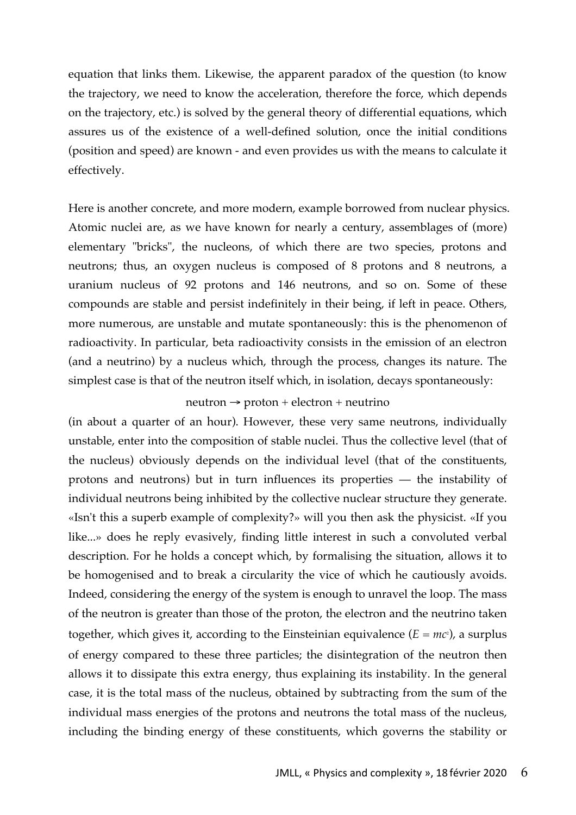equation that links them. Likewise, the apparent paradox of the question (to know the trajectory, we need to know the acceleration, therefore the force, which depends on the trajectory, etc.) is solved by the general theory of differential equations, which assures us of the existence of a well-defined solution, once the initial conditions (position and speed) are known - and even provides us with the means to calculate it effectively.

Here is another concrete, and more modern, example borrowed from nuclear physics. Atomic nuclei are, as we have known for nearly a century, assemblages of (more) elementary "bricks", the nucleons, of which there are two species, protons and neutrons; thus, an oxygen nucleus is composed of 8 protons and 8 neutrons, a uranium nucleus of 92 protons and 146 neutrons, and so on. Some of these compounds are stable and persist indefinitely in their being, if left in peace. Others, more numerous, are unstable and mutate spontaneously: this is the phenomenon of radioactivity. In particular, beta radioactivity consists in the emission of an electron (and a neutrino) by a nucleus which, through the process, changes its nature. The simplest case is that of the neutron itself which, in isolation, decays spontaneously:

#### $neutron \rightarrow proton + electron + neutrino$

(in about a quarter of an hour). However, these very same neutrons, individually unstable, enter into the composition of stable nuclei. Thus the collective level (that of the nucleus) obviously depends on the individual level (that of the constituents, protons and neutrons) but in turn influences its properties — the instability of individual neutrons being inhibited by the collective nuclear structure they generate. «Isn't this a superb example of complexity?» will you then ask the physicist. «If you like...» does he reply evasively, finding little interest in such a convoluted verbal description. For he holds a concept which, by formalising the situation, allows it to be homogenised and to break a circularity the vice of which he cautiously avoids. Indeed, considering the energy of the system is enough to unravel the loop. The mass of the neutron is greater than those of the proton, the electron and the neutrino taken together, which gives it, according to the Einsteinian equivalence (*E = mc*<sup>2</sup>), a surplus of energy compared to these three particles; the disintegration of the neutron then allows it to dissipate this extra energy, thus explaining its instability. In the general case, it is the total mass of the nucleus, obtained by subtracting from the sum of the individual mass energies of the protons and neutrons the total mass of the nucleus, including the binding energy of these constituents, which governs the stability or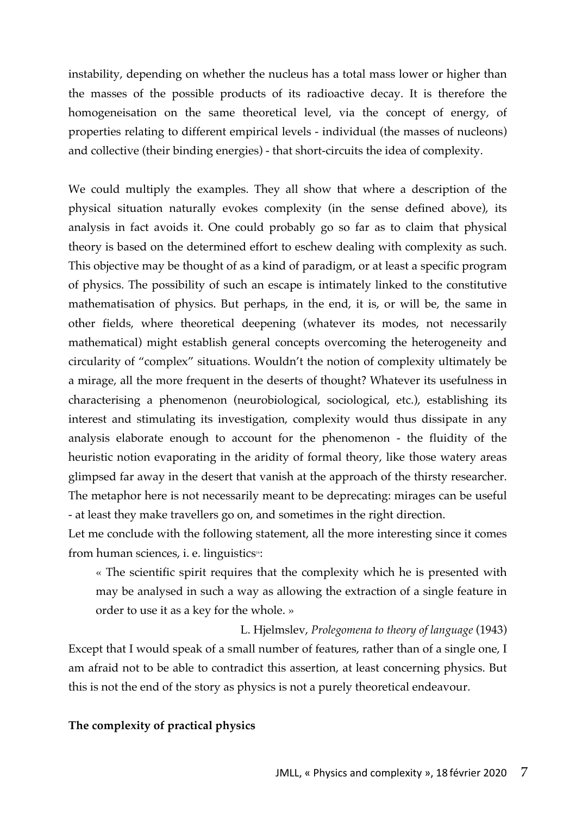instability, depending on whether the nucleus has a total mass lower or higher than the masses of the possible products of its radioactive decay. It is therefore the homogeneisation on the same theoretical level, via the concept of energy, of properties relating to different empirical levels - individual (the masses of nucleons) and collective (their binding energies) - that short-circuits the idea of complexity.

We could multiply the examples. They all show that where a description of the physical situation naturally evokes complexity (in the sense defined above), its analysis in fact avoids it. One could probably go so far as to claim that physical theory is based on the determined effort to eschew dealing with complexity as such. This objective may be thought of as a kind of paradigm, or at least a specific program of physics. The possibility of such an escape is intimately linked to the constitutive mathematisation of physics. But perhaps, in the end, it is, or will be, the same in other fields, where theoretical deepening (whatever its modes, not necessarily mathematical) might establish general concepts overcoming the heterogeneity and circularity of "complex" situations. Wouldn't the notion of complexity ultimately be a mirage, all the more frequent in the deserts of thought? Whatever its usefulness in characterising a phenomenon (neurobiological, sociological, etc.), establishing its interest and stimulating its investigation, complexity would thus dissipate in any analysis elaborate enough to account for the phenomenon - the fluidity of the heuristic notion evaporating in the aridity of formal theory, like those watery areas glimpsed far away in the desert that vanish at the approach of the thirsty researcher. The metaphor here is not necessarily meant to be deprecating: mirages can be useful - at least they make travellers go on, and sometimes in the right direction.

Let me conclude with the following statement, all the more interesting since it comes from human sciences, *i.* e. linguistics<sup>16</sup>:

« The scientific spirit requires that the complexity which he is presented with may be analysed in such a way as allowing the extraction of a single feature in order to use it as a key for the whole. »

L. Hjelmslev, *Prolegomena to theory of language* (1943) Except that I would speak of a small number of features, rather than of a single one, I am afraid not to be able to contradict this assertion, at least concerning physics. But this is not the end of the story as physics is not a purely theoretical endeavour.

# **The complexity of practical physics**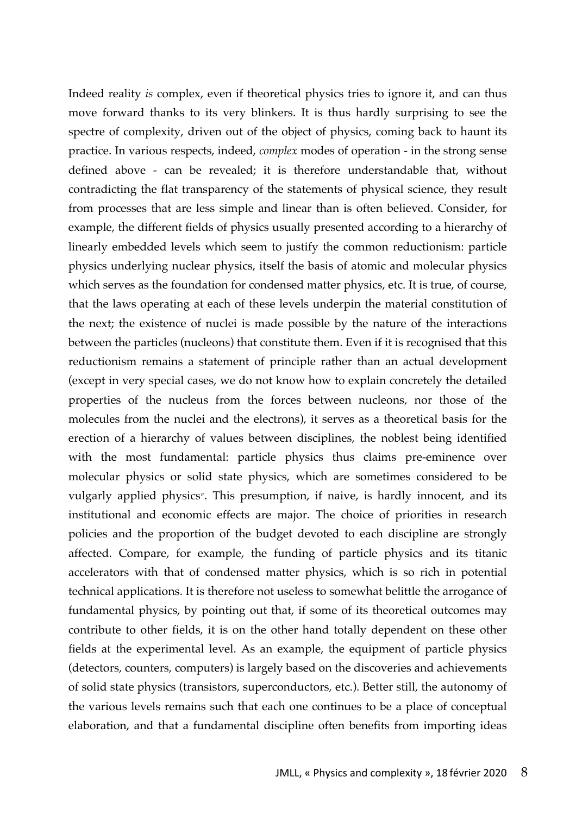Indeed reality *is* complex, even if theoretical physics tries to ignore it, and can thus move forward thanks to its very blinkers. It is thus hardly surprising to see the spectre of complexity, driven out of the object of physics, coming back to haunt its practice. In various respects, indeed, *complex* modes of operation - in the strong sense defined above - can be revealed; it is therefore understandable that, without contradicting the flat transparency of the statements of physical science, they result from processes that are less simple and linear than is often believed. Consider, for example, the different fields of physics usually presented according to a hierarchy of linearly embedded levels which seem to justify the common reductionism: particle physics underlying nuclear physics, itself the basis of atomic and molecular physics which serves as the foundation for condensed matter physics, etc. It is true, of course, that the laws operating at each of these levels underpin the material constitution of the next; the existence of nuclei is made possible by the nature of the interactions between the particles (nucleons) that constitute them. Even if it is recognised that this reductionism remains a statement of principle rather than an actual development (except in very special cases, we do not know how to explain concretely the detailed properties of the nucleus from the forces between nucleons, nor those of the molecules from the nuclei and the electrons), it serves as a theoretical basis for the erection of a hierarchy of values between disciplines, the noblest being identified with the most fundamental: particle physics thus claims pre-eminence over molecular physics or solid state physics, which are sometimes considered to be vulgarly applied physics<sup>17</sup>. This presumption, if naive, is hardly innocent, and its institutional and economic effects are major. The choice of priorities in research policies and the proportion of the budget devoted to each discipline are strongly affected. Compare, for example, the funding of particle physics and its titanic accelerators with that of condensed matter physics, which is so rich in potential technical applications. It is therefore not useless to somewhat belittle the arrogance of fundamental physics, by pointing out that, if some of its theoretical outcomes may contribute to other fields, it is on the other hand totally dependent on these other fields at the experimental level. As an example, the equipment of particle physics (detectors, counters, computers) is largely based on the discoveries and achievements of solid state physics (transistors, superconductors, etc.). Better still, the autonomy of the various levels remains such that each one continues to be a place of conceptual elaboration, and that a fundamental discipline often benefits from importing ideas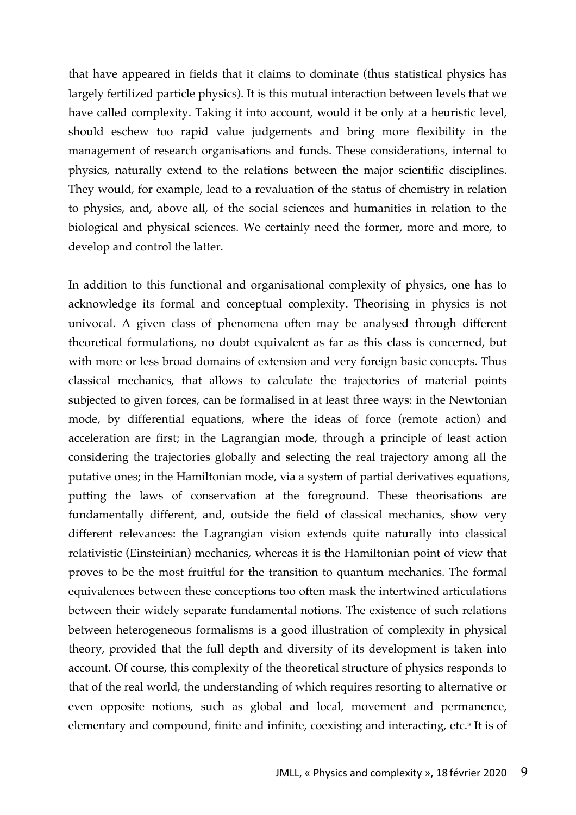that have appeared in fields that it claims to dominate (thus statistical physics has largely fertilized particle physics). It is this mutual interaction between levels that we have called complexity. Taking it into account, would it be only at a heuristic level, should eschew too rapid value judgements and bring more flexibility in the management of research organisations and funds. These considerations, internal to physics, naturally extend to the relations between the major scientific disciplines. They would, for example, lead to a revaluation of the status of chemistry in relation to physics, and, above all, of the social sciences and humanities in relation to the biological and physical sciences. We certainly need the former, more and more, to develop and control the latter.

In addition to this functional and organisational complexity of physics, one has to acknowledge its formal and conceptual complexity. Theorising in physics is not univocal. A given class of phenomena often may be analysed through different theoretical formulations, no doubt equivalent as far as this class is concerned, but with more or less broad domains of extension and very foreign basic concepts. Thus classical mechanics, that allows to calculate the trajectories of material points subjected to given forces, can be formalised in at least three ways: in the Newtonian mode, by differential equations, where the ideas of force (remote action) and acceleration are first; in the Lagrangian mode, through a principle of least action considering the trajectories globally and selecting the real trajectory among all the putative ones; in the Hamiltonian mode, via a system of partial derivatives equations, putting the laws of conservation at the foreground. These theorisations are fundamentally different, and, outside the field of classical mechanics, show very different relevances: the Lagrangian vision extends quite naturally into classical relativistic (Einsteinian) mechanics, whereas it is the Hamiltonian point of view that proves to be the most fruitful for the transition to quantum mechanics. The formal equivalences between these conceptions too often mask the intertwined articulations between their widely separate fundamental notions. The existence of such relations between heterogeneous formalisms is a good illustration of complexity in physical theory, provided that the full depth and diversity of its development is taken into account. Of course, this complexity of the theoretical structure of physics responds to that of the real world, the understanding of which requires resorting to alternative or even opposite notions, such as global and local, movement and permanence, elementary and compound, finite and infinite, coexisting and interacting, etc.<sup>18</sup> It is of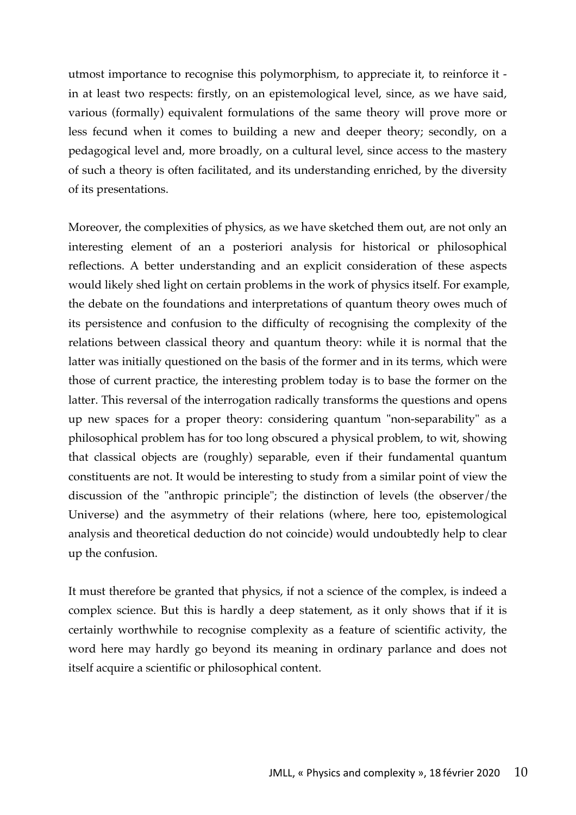utmost importance to recognise this polymorphism, to appreciate it, to reinforce it in at least two respects: firstly, on an epistemological level, since, as we have said, various (formally) equivalent formulations of the same theory will prove more or less fecund when it comes to building a new and deeper theory; secondly, on a pedagogical level and, more broadly, on a cultural level, since access to the mastery of such a theory is often facilitated, and its understanding enriched, by the diversity of its presentations.

Moreover, the complexities of physics, as we have sketched them out, are not only an interesting element of an a posteriori analysis for historical or philosophical reflections. A better understanding and an explicit consideration of these aspects would likely shed light on certain problems in the work of physics itself. For example, the debate on the foundations and interpretations of quantum theory owes much of its persistence and confusion to the difficulty of recognising the complexity of the relations between classical theory and quantum theory: while it is normal that the latter was initially questioned on the basis of the former and in its terms, which were those of current practice, the interesting problem today is to base the former on the latter. This reversal of the interrogation radically transforms the questions and opens up new spaces for a proper theory: considering quantum "non-separability" as a philosophical problem has for too long obscured a physical problem, to wit, showing that classical objects are (roughly) separable, even if their fundamental quantum constituents are not. It would be interesting to study from a similar point of view the discussion of the "anthropic principle"; the distinction of levels (the observer/the Universe) and the asymmetry of their relations (where, here too, epistemological analysis and theoretical deduction do not coincide) would undoubtedly help to clear up the confusion.

It must therefore be granted that physics, if not a science of the complex, is indeed a complex science. But this is hardly a deep statement, as it only shows that if it is certainly worthwhile to recognise complexity as a feature of scientific activity, the word here may hardly go beyond its meaning in ordinary parlance and does not itself acquire a scientific or philosophical content.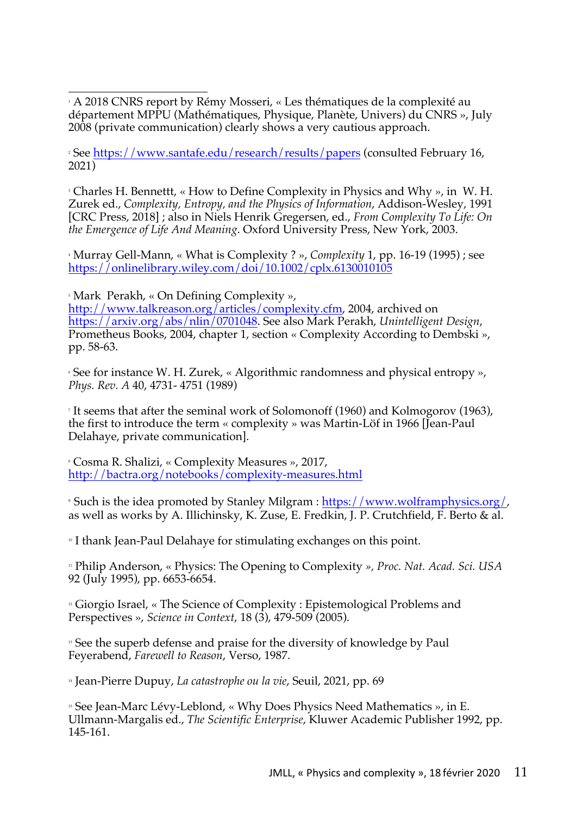1 A 2018 CNRS report by Rémy Mosseri, « Les thématiques de la complexité au département MPPU (Mathématiques, Physique, Planète, Univers) du CNRS », July 2008 (private communication) clearly shows a very cautious approach.

<sup>2</sup> See https://www.santafe.edu/research/results/papers (consulted February 16, 2021)

<sup>3</sup> Charles H. Bennettt, « How to Define Complexity in Physics and Why », in W. H. Zurek ed., *Complexity, Entropy, and the Physics of Information*, Addison-Wesley, 1991 [CRC Press, 2018] ; also in Niels Henrik Gregersen, ed., *From Complexity To Life: On the Emergence of Life And Meaning*. Oxford University Press, New York, 2003.

<sup>4</sup> Murray Gell-Mann, « What is Complexity ? », *Complexity* 1, pp. 16-19 (1995) ; see https://onlinelibrary.wiley.com/doi/10.1002/cplx.6130010105

<sup>5</sup> Mark Perakh, « On Defining Complexity »,

http://www.talkreason.org/articles/complexity.cfm, 2004, archived on https://arxiv.org/abs/nlin/0701048. See also Mark Perakh, *Unintelligent Design*, Prometheus Books, 2004, chapter 1, section « Complexity According to Dembski », pp. 58-63.

<sup>6</sup> See for instance W. H. Zurek, « Algorithmic randomness and physical entropy », *Phys. Rev. A* 40, 4731- 4751 (1989)

<sup>7</sup> It seems that after the seminal work of Solomonoff (1960) and Kolmogorov (1963), the first to introduce the term « complexity » was Martin-Löf in 1966 [Jean-Paul Delahaye, private communication].

<sup>8</sup> Cosma R. Shalizi, « Complexity Measures », 2017, http://bactra.org/notebooks/complexity-measures.html

<sup>9</sup> Such is the idea promoted by Stanley Milgram : https://www.wolframphysics.org/, as well as works by A. Illichinsky, K. Zuse, E. Fredkin, J. P. Crutchfield, F. Berto & al.

<sup>10</sup> I thank Jean-Paul Delahaye for stimulating exchanges on this point.

<sup>11</sup> Philip Anderson, « Physics: The Opening to Complexity *», Proc. Nat. Acad. Sci. USA* 92 (July 1995), pp. 6653-6654.

<sup>12</sup> Giorgio Israel, « The Science of Complexity : Epistemological Problems and Perspectives », *Science in Context*, 18 (3), 479-509 (2005).

<sup>13</sup> See the superb defense and praise for the diversity of knowledge by Paul Feyerabend, *Farewell to Reason*, Verso, 1987.

<sup>14</sup> Jean-Pierre Dupuy, *La catastrophe ou la vie*, Seuil, 2021, pp. 69

<sup>15</sup> See Jean-Marc Lévy-Leblond, « Why Does Physics Need Mathematics », in E. Ullmann-Margalis ed., *The Scientific Enterprise*, Kluwer Academic Publisher 1992, pp. 145-161.